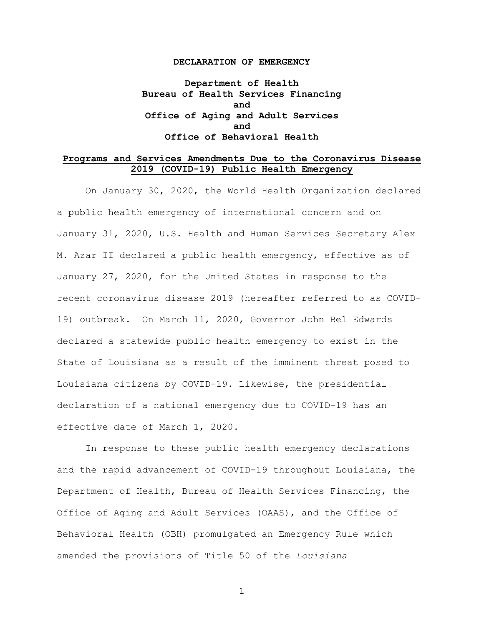#### **DECLARATION OF EMERGENCY**

**Department of Health Bureau of Health Services Financing and Office of Aging and Adult Services and Office of Behavioral Health**

#### **Programs and Services Amendments Due to the Coronavirus Disease 2019 (COVID-19) Public Health Emergency**

On January 30, 2020, the World Health Organization declared a public health emergency of international concern and on January 31, 2020, U.S. Health and Human Services Secretary Alex M. Azar II declared a public health emergency, effective as of January 27, 2020, for the United States in response to the recent coronavirus disease 2019 (hereafter referred to as COVID-19) outbreak. On March 11, 2020, Governor John Bel Edwards declared a statewide public health emergency to exist in the State of Louisiana as a result of the imminent threat posed to Louisiana citizens by COVID-19. Likewise, the presidential declaration of a national emergency due to COVID-19 has an effective date of March 1, 2020.

In response to these public health emergency declarations and the rapid advancement of COVID-19 throughout Louisiana, the Department of Health, Bureau of Health Services Financing, the Office of Aging and Adult Services (OAAS), and the Office of Behavioral Health (OBH) promulgated an Emergency Rule which amended the provisions of Title 50 of the *Louisiana*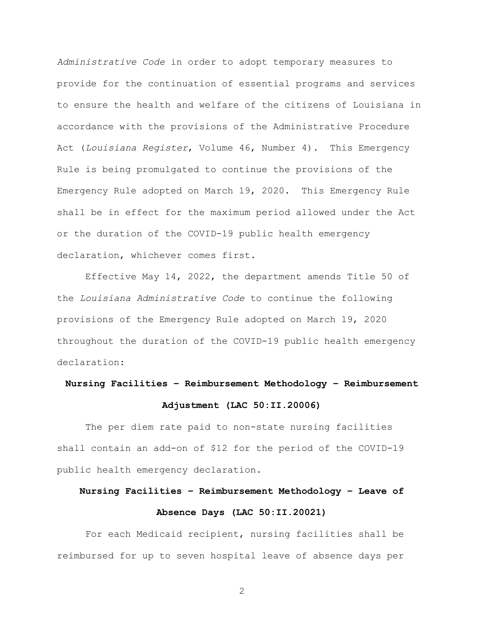*Administrative Code* in order to adopt temporary measures to provide for the continuation of essential programs and services to ensure the health and welfare of the citizens of Louisiana in accordance with the provisions of the Administrative Procedure Act (*Louisiana Register*, Volume 46, Number 4). This Emergency Rule is being promulgated to continue the provisions of the Emergency Rule adopted on March 19, 2020. This Emergency Rule shall be in effect for the maximum period allowed under the Act or the duration of the COVID-19 public health emergency declaration, whichever comes first.

Effective May 14, 2022, the department amends Title 50 of the *Louisiana Administrative Code* to continue the following provisions of the Emergency Rule adopted on March 19, 2020 throughout the duration of the COVID-19 public health emergency declaration:

## **Nursing Facilities – Reimbursement Methodology – Reimbursement**

#### **Adjustment (LAC 50:II.20006)**

The per diem rate paid to non-state nursing facilities shall contain an add-on of \$12 for the period of the COVID-19 public health emergency declaration.

### **Nursing Facilities – Reimbursement Methodology – Leave of Absence Days (LAC 50:II.20021)**

For each Medicaid recipient, nursing facilities shall be reimbursed for up to seven hospital leave of absence days per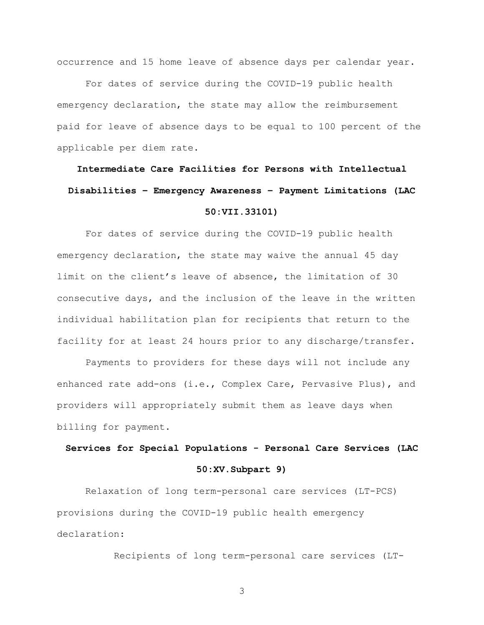occurrence and 15 home leave of absence days per calendar year.

For dates of service during the COVID-19 public health emergency declaration, the state may allow the reimbursement paid for leave of absence days to be equal to 100 percent of the applicable per diem rate.

### **Intermediate Care Facilities for Persons with Intellectual Disabilities – Emergency Awareness – Payment Limitations (LAC 50:VII.33101)**

For dates of service during the COVID-19 public health emergency declaration, the state may waive the annual 45 day limit on the client's leave of absence, the limitation of 30 consecutive days, and the inclusion of the leave in the written individual habilitation plan for recipients that return to the facility for at least 24 hours prior to any discharge/transfer.

Payments to providers for these days will not include any enhanced rate add-ons (i.e., Complex Care, Pervasive Plus), and providers will appropriately submit them as leave days when billing for payment.

### **Services for Special Populations - Personal Care Services (LAC 50:XV.Subpart 9)**

Relaxation of long term-personal care services (LT-PCS) provisions during the COVID-19 public health emergency declaration:

Recipients of long term-personal care services (LT-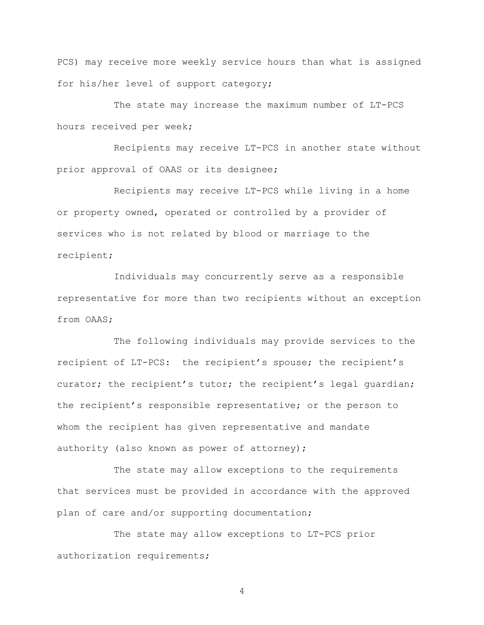PCS) may receive more weekly service hours than what is assigned for his/her level of support category;

The state may increase the maximum number of LT-PCS hours received per week;

Recipients may receive LT-PCS in another state without prior approval of OAAS or its designee;

Recipients may receive LT-PCS while living in a home or property owned, operated or controlled by a provider of services who is not related by blood or marriage to the recipient;

Individuals may concurrently serve as a responsible representative for more than two recipients without an exception from OAAS;

The following individuals may provide services to the recipient of LT-PCS: the recipient's spouse; the recipient's curator; the recipient's tutor; the recipient's legal guardian; the recipient's responsible representative; or the person to whom the recipient has given representative and mandate authority (also known as power of attorney);

The state may allow exceptions to the requirements that services must be provided in accordance with the approved plan of care and/or supporting documentation;

The state may allow exceptions to LT-PCS prior authorization requirements;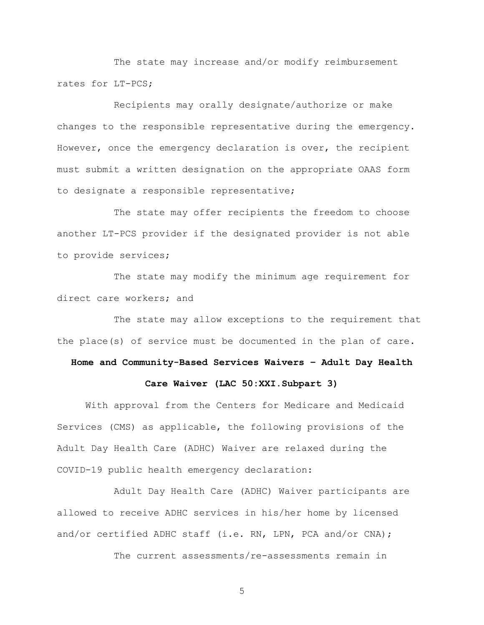The state may increase and/or modify reimbursement rates for LT-PCS;

Recipients may orally designate/authorize or make changes to the responsible representative during the emergency. However, once the emergency declaration is over, the recipient must submit a written designation on the appropriate OAAS form to designate a responsible representative;

The state may offer recipients the freedom to choose another LT-PCS provider if the designated provider is not able to provide services;

The state may modify the minimum age requirement for direct care workers; and

The state may allow exceptions to the requirement that the place(s) of service must be documented in the plan of care.

### **Home and Community-Based Services Waivers – Adult Day Health**

#### **Care Waiver (LAC 50:XXI.Subpart 3)**

With approval from the Centers for Medicare and Medicaid Services (CMS) as applicable, the following provisions of the Adult Day Health Care (ADHC) Waiver are relaxed during the COVID-19 public health emergency declaration:

Adult Day Health Care (ADHC) Waiver participants are allowed to receive ADHC services in his/her home by licensed and/or certified ADHC staff (i.e. RN, LPN, PCA and/or CNA);

The current assessments/re-assessments remain in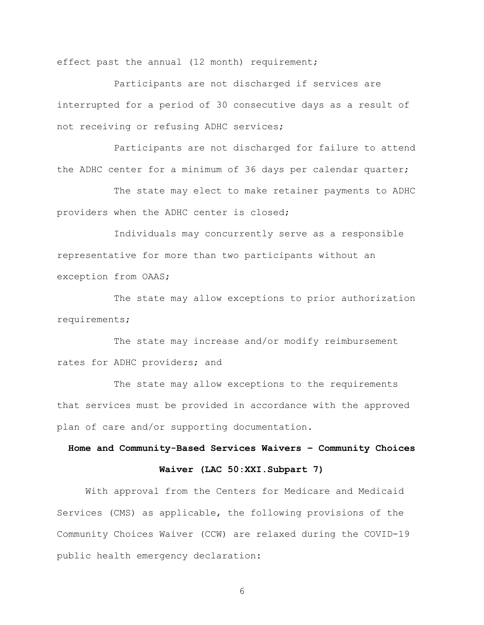effect past the annual (12 month) requirement;

Participants are not discharged if services are interrupted for a period of 30 consecutive days as a result of not receiving or refusing ADHC services;

Participants are not discharged for failure to attend the ADHC center for a minimum of 36 days per calendar quarter;

The state may elect to make retainer payments to ADHC providers when the ADHC center is closed;

Individuals may concurrently serve as a responsible representative for more than two participants without an exception from OAAS;

The state may allow exceptions to prior authorization requirements;

The state may increase and/or modify reimbursement rates for ADHC providers; and

The state may allow exceptions to the requirements that services must be provided in accordance with the approved plan of care and/or supporting documentation.

# **Home and Community-Based Services Waivers – Community Choices**

#### **Waiver (LAC 50:XXI.Subpart 7)**

With approval from the Centers for Medicare and Medicaid Services (CMS) as applicable, the following provisions of the Community Choices Waiver (CCW) are relaxed during the COVID-19 public health emergency declaration: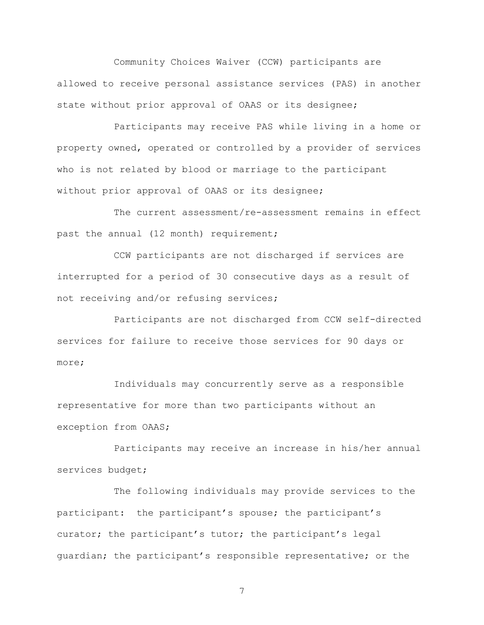Community Choices Waiver (CCW) participants are allowed to receive personal assistance services (PAS) in another state without prior approval of OAAS or its designee;

Participants may receive PAS while living in a home or property owned, operated or controlled by a provider of services who is not related by blood or marriage to the participant without prior approval of OAAS or its designee;

The current assessment/re-assessment remains in effect past the annual (12 month) requirement;

CCW participants are not discharged if services are interrupted for a period of 30 consecutive days as a result of not receiving and/or refusing services;

Participants are not discharged from CCW self-directed services for failure to receive those services for 90 days or more;

Individuals may concurrently serve as a responsible representative for more than two participants without an exception from OAAS;

Participants may receive an increase in his/her annual services budget;

The following individuals may provide services to the participant: the participant's spouse; the participant's curator; the participant's tutor; the participant's legal guardian; the participant's responsible representative; or the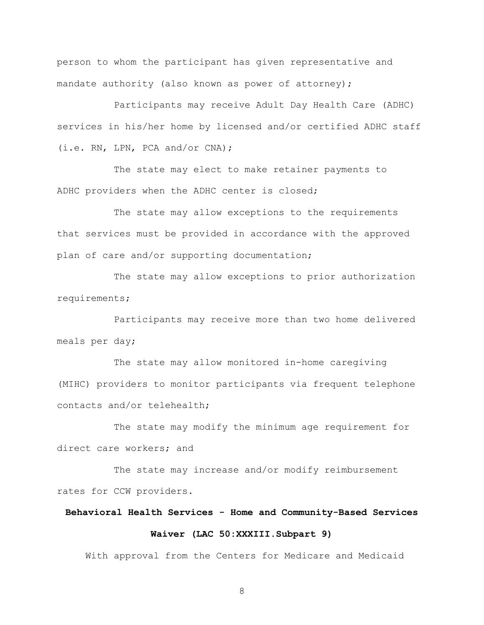person to whom the participant has given representative and mandate authority (also known as power of attorney);

Participants may receive Adult Day Health Care (ADHC) services in his/her home by licensed and/or certified ADHC staff (i.e. RN, LPN, PCA and/or CNA);

The state may elect to make retainer payments to ADHC providers when the ADHC center is closed;

The state may allow exceptions to the requirements that services must be provided in accordance with the approved plan of care and/or supporting documentation;

The state may allow exceptions to prior authorization requirements;

Participants may receive more than two home delivered meals per day;

The state may allow monitored in-home caregiving (MIHC) providers to monitor participants via frequent telephone contacts and/or telehealth;

The state may modify the minimum age requirement for direct care workers; and

The state may increase and/or modify reimbursement rates for CCW providers.

### **Behavioral Health Services - Home and Community-Based Services Waiver (LAC 50:XXXIII.Subpart 9)**

With approval from the Centers for Medicare and Medicaid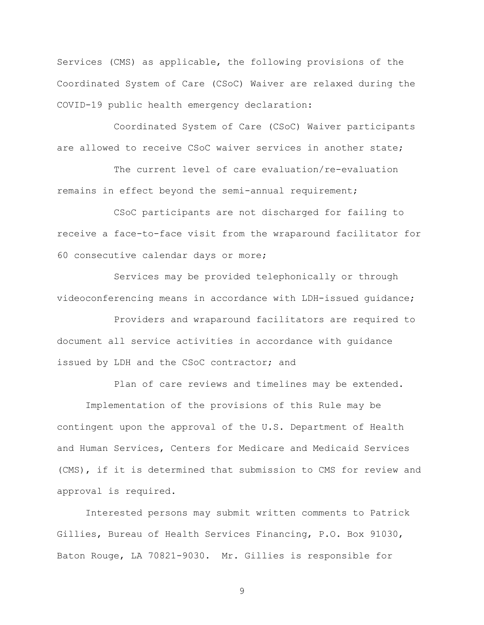Services (CMS) as applicable, the following provisions of the Coordinated System of Care (CSoC) Waiver are relaxed during the COVID-19 public health emergency declaration:

Coordinated System of Care (CSoC) Waiver participants are allowed to receive CSoC waiver services in another state;

The current level of care evaluation/re-evaluation remains in effect beyond the semi-annual requirement;

CSoC participants are not discharged for failing to receive a face-to-face visit from the wraparound facilitator for 60 consecutive calendar days or more;

Services may be provided telephonically or through videoconferencing means in accordance with LDH-issued guidance;

Providers and wraparound facilitators are required to document all service activities in accordance with guidance issued by LDH and the CSoC contractor; and

Plan of care reviews and timelines may be extended.

Implementation of the provisions of this Rule may be contingent upon the approval of the U.S. Department of Health and Human Services, Centers for Medicare and Medicaid Services (CMS), if it is determined that submission to CMS for review and approval is required.

Interested persons may submit written comments to Patrick Gillies, Bureau of Health Services Financing, P.O. Box 91030, Baton Rouge, LA 70821-9030. Mr. Gillies is responsible for